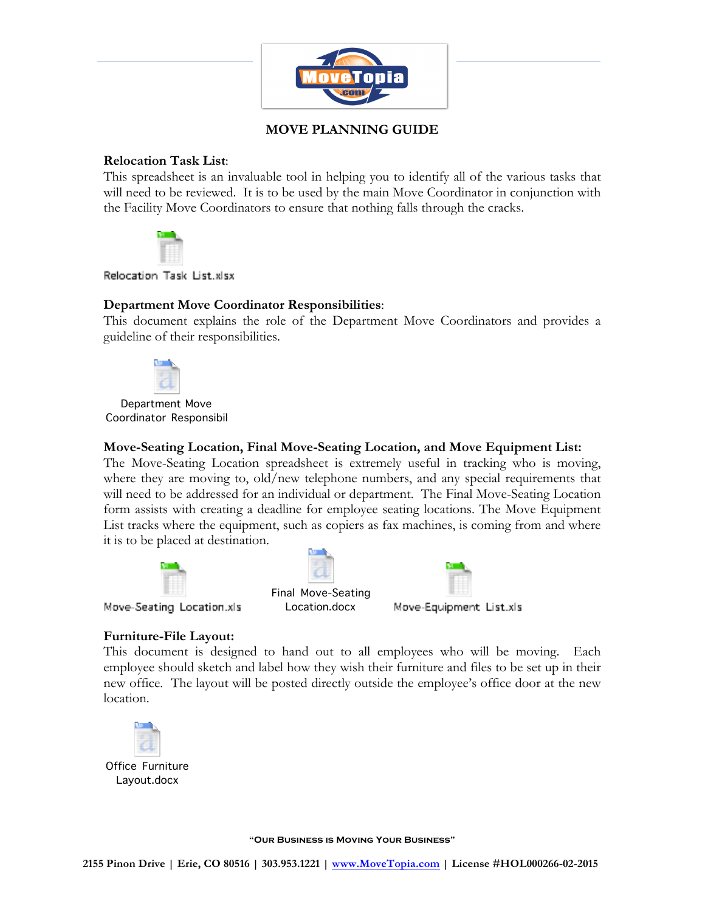

# **MOVE PLANNING GUIDE**

### **Relocation Task List**:

This spreadsheet is an invaluable tool in helping you to identify all of the various tasks that will need to be reviewed. It is to be used by the main Move Coordinator in conjunction with the Facility Move Coordinators to ensure that nothing falls through the cracks.



Relocation Task List.xlsx

## **Department Move Coordinator Responsibilities**:

This document explains the role of the Department Move Coordinators and provides a guideline of their responsibilities.



Department Move Coordinator Responsibil

### **Move-Seating Location, Final Move-Seating Location, and Move Equipment List:**

The Move-Seating Location spreadsheet is extremely useful in tracking who is moving, where they are moving to, old/new telephone numbers, and any special requirements that will need to be addressed for an individual or department. The Final Move-Seating Location form assists with creating a deadline for employee seating locations. The Move Equipment List tracks where the equipment, such as copiers as fax machines, is coming from and where it is to be placed at destination.







Final Move-Seating



Move-Seating Location.xls

# Location.docx

## **Furniture-File Layout:**

This document is designed to hand out to all employees who will be moving. Each employee should sketch and label how they wish their furniture and files to be set up in their new office. The layout will be posted directly outside the employee's office door at the new location.



Office Furniture Layout.docx

**"Our Business is Moving Your Business"**